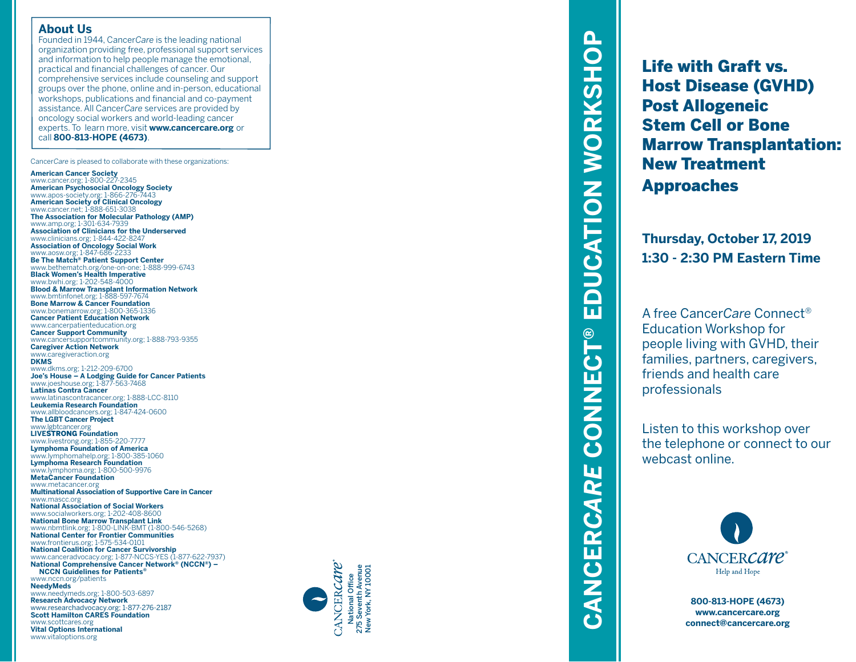#### **About Us**

Founded in 1944, Cancer*Care* is the leading national organization providing free, professional support services and information to help people manage the emotional, practical and financial challenges of cancer. Our comprehensive services include counseling and support groups over the phone, online and in-person, educational workshops, publications and financial and co-payment assistance. All Cancer*Care* services are provided by oncology social workers and world-leading cancer experts. To learn more, visit **www.cancercare.org** or call **800-813-HOPE (4673)** .

Cancer*Care* is pleased to collaborate with these organizations:

**American Cancer Society** www.cancer.org; 1-800-227-2345 **American Psychosocial Oncology Society** www.apos-society.org; 1-866-276-7443 **American Society of Clinical Oncology** www.cancer.net; 1-888-651-3038 **The Association for Molecular Pathology (AMP)** www.amp.org; 1-301-634-7939 **Association of Clinicians for the Underserved** www.clinicians.org; 1-844-422-8247 **Association of Oncology Social Work** www.aosw.org; 1-847-686-2233 **Be The Match ® Patient Support Center** www.bethematch.org/one-on-one; 1-888-999-6743 **Black Women's Health Imperative** www.bwhi.org; 1-202-548-4000 **Blood & Marrow Transplant Information Network** www.bmtinfonet.org; 1-888-597-7674 **Bone Marrow & Cancer Foundation** www.bonemarrow.org; 1-800-365-1336 **Cancer Patient Education Network** www.cancerpatienteducation.org **Cancer Support Community** www.cancersupportcommunity.org; 1-888-793-9355 **Caregiver Action Network** www.caregiveraction.org **DKMS** www.dkms.org; 1-212-209-6700 **Joe's House – A Lodging Guide for Cancer Patients** www.joeshouse.org; 1-877-563-7468 **Latinas Contra Cancer** www.latinascontracancer.org; 1-888-LCC-8110 **Leukemia Research Foundation** www.allbloodcancers.org; 1-847-424-0600 **The LGBT Cancer Project** www.lgbtcancer.org **LIVE**STRONG **Foundation** www.livestrong.org; 1-855-220-7777 **Lymphoma Foundation of America** www.lymphomahelp.org; 1-800-385-1060 **Lymphoma Research Foundation** www.lymphoma.org; 1-800-500-9976 **MetaCancer Foundation** www.metacancer.org **Multinational Association of Supportive Care in Cancer** www.mascc.org **National Association of Social Workers** www.socialworkers.org; 1-202-408-8600 **National Bone Marrow Transplant Link** www.nbmtlink.org; 1-800-LINK-BMT (1-800-546-5268) **National Center for Frontier Communities** www.frontierus.org; 1-575-534-0101 **National Coalition for Cancer Survivorship** www.canceradvocacy.org; 1-877-NCCS-YES (1-877-622-7937) **National Comprehensive Cancer Network ® (NCCN ®) – NCCN Guidelines for Patients ®** www.nccn.org/patients **NeedyMeds** www.needymeds.org; 1-800-503-6897 **Research Advocacy Network** www.researchadvocacy.org; 1-877-276-2187 **Scott Hamilton CARES Foundation** www.scottcares.org **Vital Options International** www.vitaloptions.org



# EDUCATION WORKSHOP **CANCER***CARE* **CONNECT® EDUCATION WORKSHOP CONNECT®** CANCERCARE

Life with Graft vs. Host Disease (GVHD) Post Allogeneic Stem Cell or Bone Marrow Transplantation: New Treatment Approaches

**Thursday, October 17, 2019 1:30 - 2:30 PM Eastern Time**

A free Cancer*Care* Connect ® Education Workshop for people living with GVHD, their families, partners, caregivers, friends and health care professionals

Listen to this workshop over the telephone or connect to our webcast online.



**800-813-HOPE (4673) www.cancercare.org connect@cancercare.org**